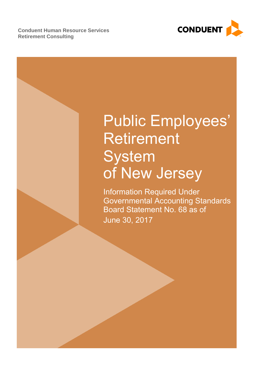**Conduent Human Resource Services Retirement Consulting**



# Public Employees' Retirement **System** of New Jersey

Information Required Under Governmental Accounting Standards Board Statement No. 68 as of June 30, 2017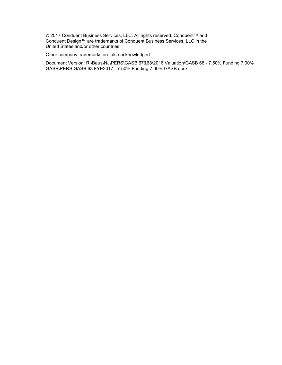© 2017 Conduent Business Services, LLC. All rights reserved. Conduent™ and Conduent Design™ are trademarks of Conduent Business Services, LLC in the United States and/or other countries.

Other company trademarks are also acknowledged.

Document Version: R:\Baus\NJ\PERS\GASB 67&68\2016 Valuation\GASB 68 - 7.50% Funding 7.00% GASB\PERS GASB 68 FYE2017 - 7.50% Funding 7.00% GASB.docx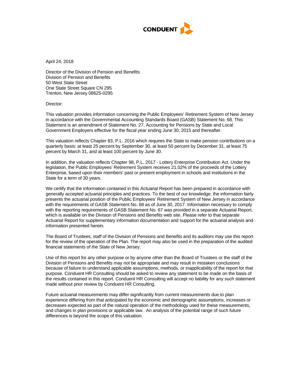

April 24, 2018

Director of the Division of Pension and Benefits Division of Pension and Benefits 50 West State Street One State Street Square CN 295 Trenton, New Jersey 08625-0295

Director:

This valuation provides information concerning the Public Employees' Retirement System of New Jersey in accordance with the Governmental Accounting Standards Board (GASB) Statement No. 68. This Statement is an amendment of Statement No. 27, Accounting for Pensions by State and Local Government Employers effective for the fiscal year ending June 30, 2015 and thereafter.

This valuation reflects Chapter 83, P.L. 2016 which requires the State to make pension contributions on a quarterly basis: at least 25 percent by September 30, at least 50 percent by December 31, at least 75 percent by March 31, and at least 100 percent by June 30.

In addition, the valuation reflects Chapter 98, P.L. 2017 - Lottery Enterprise Contribution Act. Under the legislation, the Public Employees' Retirement System receives 21.02% of the proceeds of the Lottery Enterprise, based upon their members' past or present employment in schools and institutions in the State for a term of 30 years.

We certify that the information contained in this Actuarial Report has been prepared in accordance with generally accepted actuarial principles and practices. To the best of our knowledge, the information fairly presents the actuarial position of the Public Employees' Retirement System of New Jersey in accordance with the requirements of GASB Statement No. 68 as of June 30, 2017. Information necessary to comply with the reporting requirements of GASB Statement No. 67 was provided in a separate Actuarial Report, which is available on the Division of Pensions and Benefits web site. Please refer to that separate Actuarial Report for supplementary information documentation and support for the actuarial analysis and information presented herein.

The Board of Trustees, staff of the Division of Pensions and Benefits and its auditors may use this report for the review of the operation of the Plan. The report may also be used in the preparation of the audited financial statements of the State of New Jersey.

Use of this report for any other purpose or by anyone other than the Board of Trustees or the staff of the Division of Pensions and Benefits may not be appropriate and may result in mistaken conclusions because of failure to understand applicable assumptions, methods, or inapplicability of the report for that purpose. Conduent HR Consulting should be asked to review any statement to be made on the basis of the results contained in this report. Conduent HR Consulting will accept no liability for any such statement made without prior review by Conduent HR Consulting.

Future actuarial measurements may differ significantly from current measurements due to plan experience differing from that anticipated by the economic and demographic assumptions, increases or decreases expected as part of the natural operation of the methodology used for these measurements, and changes in plan provisions or applicable law. An analysis of the potential range of such future differences is beyond the scope of this valuation.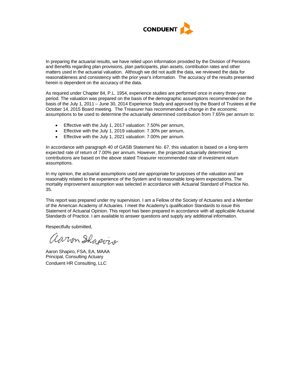

In preparing the actuarial results, we have relied upon information provided by the Division of Pensions and Benefits regarding plan provisions, plan participants, plan assets, contribution rates and other matters used in the actuarial valuation. Although we did not audit the data, we reviewed the data for reasonableness and consistency with the prior year's information. The accuracy of the results presented herein is dependent on the accuracy of the data.

As required under Chapter 84, P.L. 1954, experience studies are performed once in every three-year period. The valuation was prepared on the basis of the demographic assumptions recommended on the basis of the July 1, 2011 – June 30, 2014 Experience Study and approved by the Board of Trustees at the October 14, 2015 Board meeting. The Treasurer has recommended a change in the economic assumptions to be used to determine the actuarially determined contribution from 7.65% per annum to:

- Effective with the July 1, 2017 valuation: 7.50% per annum,
- Effective with the July 1, 2019 valuation: 7.30% per annum,
- Effective with the July 1, 2021 valuation: 7.00% per annum.

In accordance with paragraph 40 of GASB Statement No. 67, this valuation is based on a long-term expected rate of return of 7.00% per annum. However, the projected actuarially determined contributions are based on the above stated Treasurer recommended rate of investment return assumptions.

In my opinion, the actuarial assumptions used are appropriate for purposes of the valuation and are reasonably related to the experience of the System and to reasonable long-term expectations. The mortality improvement assumption was selected in accordance with Actuarial Standard of Practice No. 35.

This report was prepared under my supervision. I am a Fellow of the Society of Actuaries and a Member of the American Academy of Actuaries. I meet the Academy's qualification Standards to issue this Statement of Actuarial Opinion. This report has been prepared in accordance with all applicable Actuarial Standards of Practice. I am available to answer questions and supply any additional information.

Respectfully submitted,

aaron Shapvis

Aaron Shapiro, FSA, EA, MAAA Principal, Consulting Actuary Conduent HR Consulting, LLC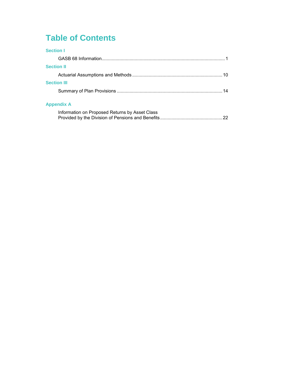## **Table of Contents**

| <b>Section I</b>   |    |
|--------------------|----|
|                    |    |
| <b>Section II</b>  |    |
|                    |    |
| <b>Section III</b> |    |
|                    | 14 |
| <b>Appendix A</b>  |    |
|                    |    |

| Information on Proposed Returns by Asset Class |  |
|------------------------------------------------|--|
|                                                |  |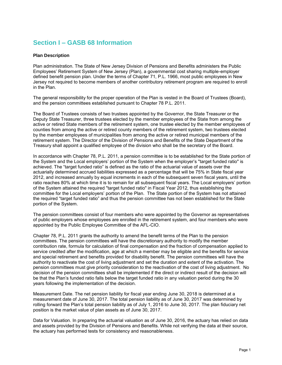## **Section I – GASB 68 Information**

#### **Plan Description**

Plan administration. The State of New Jersey Division of Pensions and Benefits administers the Public Employees' Retirement System of New Jersey (Plan), a governmental cost sharing multiple-employer defined benefit pension plan. Under the terms of Chapter 71, P.L. 1966, most public employees in New Jersey not required to become members of another contributory retirement program are required to enroll in the Plan.

The general responsibility for the proper operation of the Plan is vested in the Board of Trustees (Board), and the pension committees established pursuant to Chapter 78 P.L. 2011.

The Board of Trustees consists of two trustees appointed by the Governor, the State Treasurer or the Deputy State Treasurer, three trustees elected by the member employees of the State from among the active or retired State members of the retirement system, one trustee elected by the member employees of counties from among the active or retired county members of the retirement system, two trustees elected by the member employees of municipalities from among the active or retired municipal members of the retirement system. The Director of the Division of Pensions and Benefits of the State Department of the Treasury shall appoint a qualified employee of the division who shall be the secretary of the Board.

In accordance with Chapter 78, P.L. 2011, a pension committee is to be established for the State portion of the System and the Local employers' portion of the System when the employer's "target funded ratio" is achieved. The "target funded ratio" is defined as the ratio of the actuarial value of assets over the actuarially determined accrued liabilities expressed as a percentage that will be 75% in State fiscal year 2012, and increased annually by equal increments in each of the subsequent seven fiscal years, until the ratio reaches 80% at which time it is to remain for all subsequent fiscal years. The Local employers' portion of the System attained the required "target funded ratio" in Fiscal Year 2012, thus establishing the committee for the Local employers' portion of the Plan. The State portion of the System has not attained the required "target funded ratio" and thus the pension committee has not been established for the State portion of the System.

The pension committees consist of four members who were appointed by the Governor as representatives of public employers whose employees are enrolled in the retirement system, and four members who were appointed by the Public Employee Committee of the AFL-CIO.

Chapter 78, P.L. 2011 grants the authority to amend the benefit terms of the Plan to the pension committees. The pension committees will have the discretionary authority to modify the member contribution rate, formula for calculation of final compensation and the fraction of compensation applied to service credited after the modification, age at which a member may be eligible and the benefits for service and special retirement and benefits provided for disability benefit. The pension committees will have the authority to reactivate the cost of living adjustment and set the duration and extent of the activation. The pension committees must give priority consideration to the reactivation of the cost of living adjustment. No decision of the pension committees shall be implemented if the direct or indirect result of the decision will be that the Plan's funded ratio falls below the target funded ratio in any valuation period during the 30 years following the implementation of the decision.

Measurement Date. The net pension liability for fiscal year ending June 30, 2018 is determined at a measurement date of June 30, 2017. The total pension liability as of June 30, 2017 was determined by rolling forward the Plan's total pension liability as of July 1, 2016 to June 30, 2017. The plan fiduciary net position is the market value of plan assets as of June 30, 2017.

Data for Valuation. In preparing the actuarial valuation as of June 30, 2016, the actuary has relied on data and assets provided by the Division of Pensions and Benefits. While not verifying the data at their source, the actuary has performed tests for consistency and reasonableness.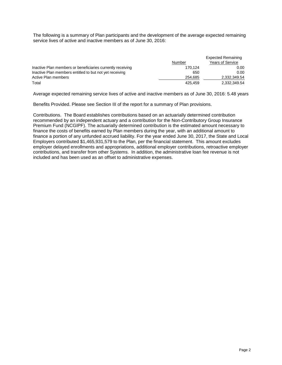The following is a summary of Plan participants and the development of the average expected remaining service lives of active and inactive members as of June 30, 2016:

|                                                            |         | <b>Expected Remaining</b> |
|------------------------------------------------------------|---------|---------------------------|
|                                                            | Number  | <b>Years of Service</b>   |
| Inactive Plan members or beneficiaries currently receiving | 170.124 | 0.00                      |
| Inactive Plan members entitled to but not yet receiving    | 650     | 0.00                      |
| Active Plan members                                        | 254.685 | 2,332,349.54              |
| Total                                                      | 425.459 | 2,332,349.54              |

Average expected remaining service lives of active and inactive members as of June 30, 2016: 5.48 years

Benefits Provided*.* Please see Section III of the report for a summary of Plan provisions.

Contributions. The Board establishes contributions based on an actuarially determined contribution recommended by an independent actuary and a contribution for the Non-Contributory Group Insurance Premium Fund (NCGIPF). The actuarially determined contribution is the estimated amount necessary to finance the costs of benefits earned by Plan members during the year, with an additional amount to finance a portion of any unfunded accrued liability. For the year ended June 30, 2017, the State and Local Employers contributed \$1,465,931,579 to the Plan, per the financial statement. This amount excludes employer delayed enrollments and appropriations, additional employer contributions, retroactive employer contributions, and transfer from other Systems. In addition, the administrative loan fee revenue is not included and has been used as an offset to administrative expenses.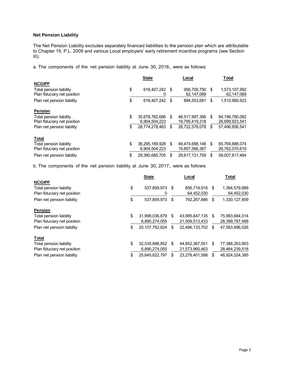#### **Net Pension Liability**

The Net Pension Liability excludes separately financed liabilities to the pension plan which are attributable to Chapter 19, P.L. 2009 and various Local employers' early retirement incentive programs (see Section III).

a. The components of the net pension liability at June 30, 2016, were as follows:

|                                                               | <b>State</b>         | Local                     | <b>Total</b> |                             |  |
|---------------------------------------------------------------|----------------------|---------------------------|--------------|-----------------------------|--|
| <b>NCGIPF</b>                                                 |                      |                           |              |                             |  |
| <b>Total pension liability</b><br>Plan fiduciary net position | \$<br>616.407.242 \$ | 956,700,750<br>62,147,069 | S            | 1,573,107,992<br>62,147,069 |  |
| Plan net pension liability                                    | \$<br>616.407.242    | \$<br>894,553,681         | \$           | 1,510,960,923               |  |
| <b>Pension</b>                                                |                      |                           |              |                             |  |
| Total pension liability                                       | \$<br>35,678,782,686 | \$<br>48,517,997,396      | \$           | 84,196,780,082              |  |
| Plan fiduciary net position                                   | 6,904,504,223        | 19,795,419,318            |              | 26,699,923,541              |  |
| Plan net pension liability                                    | \$<br>28.774.278.463 | \$<br>28.722.578.078      | \$           | 57,496,856,541              |  |
| <b>Total</b>                                                  |                      |                           |              |                             |  |
| Total pension liability                                       | \$<br>36,295,189,928 | \$<br>49,474,698,146      | \$           | 85,769,888,074              |  |
| Plan fiduciary net position                                   | 6.904.504.223        | 19,857,566,387            |              | 26.762.070.610              |  |
| Plan net pension liability                                    | \$<br>29.390.685.705 | \$<br>29.617.131.759      | S            | 59.007.817.464              |  |

b. The components of the net pension liability at June 30, 2017, were as follows:

|                             | <b>State</b>         | Local                | <b>Total</b> |                |  |
|-----------------------------|----------------------|----------------------|--------------|----------------|--|
| <b>NCGIPF</b>               |                      |                      |              |                |  |
| Total pension liability     | \$<br>537,859,973    | \$<br>856,719,916    | \$           | 1,394,579,889  |  |
| Plan fiduciary net position |                      | 64,452,030           |              | 64,452,030     |  |
| Plan net pension liability  | \$<br>537.859.973    | \$<br>792,267,886    | \$           | 1,330,127,859  |  |
| <b>Pension</b>              |                      |                      |              |                |  |
| Total pension liability     | \$<br>31,998,036,879 | \$<br>43,995,647,135 | \$           | 75,993,684,014 |  |
| Plan fiduciary net position | 6,890,274,055        | 21,509,513,433       |              | 28,399,787,488 |  |
| Plan net pension liability  | \$<br>25.107.762.824 | \$<br>22,486,133,702 | \$           | 47,593,896,526 |  |
| <b>Total</b>                |                      |                      |              |                |  |
| Total pension liability     | \$<br>32,535,896,852 | \$<br>44,852,367,051 | S            | 77,388,263,903 |  |
| Plan fiduciary net position | 6,890,274,055        | 21,573,965,463       |              | 28,464,239,518 |  |
| Plan net pension liability  | \$<br>25,645,622,797 | \$<br>23.278.401.588 | S            | 48,924,024,385 |  |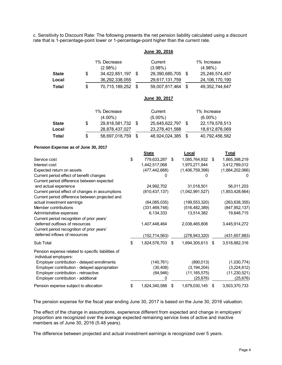c. Sensitivity to Discount Rate: The following presents the net pension liability calculated using a discount rate that is 1-percentage-point lower or 1-percentage-point higher than the current rate.

|              |                      | <b>June 30, 2016</b> |                   |
|--------------|----------------------|----------------------|-------------------|
|              | 1% Decrease          | Current              | 1% Increase       |
|              | $(2.98\%)$           | $(3.98\%)$           | $(4.98\%)$        |
| <b>State</b> | \$<br>34,422,851,197 | 29,390,685,705 \$    | 25,246,574,457    |
| Local        | 36,292,338,055       | 29,617,131,759       | 24, 106, 170, 190 |
| Total        | \$<br>70,715,189,252 | 59,007,817,464       | 49, 352, 744, 647 |

#### **June 30, 2017**

|              |    | 1% Decrease       | Current        | 1% Increase |                |  |  |  |
|--------------|----|-------------------|----------------|-------------|----------------|--|--|--|
|              |    | $(4.00\%)$        | $(5.00\%)$     |             | $(6.00\%)$     |  |  |  |
| <b>State</b> | S  | 29,818,581,732 \$ | 25,645,622,797 |             | 22,179,578,513 |  |  |  |
| Local        |    | 28,878,437,027    | 23,278,401,588 |             | 18,612,878,069 |  |  |  |
| Total        | \$ | 58,697,018,759    | 48,924,024,385 |             | 40,792,456,582 |  |  |  |

#### **Pension Expense as of June 30, 2017**

|                                                                                                                                                                                                                                                                                                                                                                  |                                                                  |    | June 30, 2016                                          |                                                            |                                          |      |                                                           |
|------------------------------------------------------------------------------------------------------------------------------------------------------------------------------------------------------------------------------------------------------------------------------------------------------------------------------------------------------------------|------------------------------------------------------------------|----|--------------------------------------------------------|------------------------------------------------------------|------------------------------------------|------|-----------------------------------------------------------|
| <b>State</b><br>Local                                                                                                                                                                                                                                                                                                                                            | \$<br>1% Decrease<br>(2.98%)<br>34,422,851,197<br>36,292,338,055 | \$ | Current<br>(3.98%)<br>29,390,685,705<br>29,617,131,759 | \$                                                         | 1% Increase<br>$(4.98\%)$                |      | 25,246,574,457<br>24, 106, 170, 190                       |
| <b>Total</b>                                                                                                                                                                                                                                                                                                                                                     | \$<br>70,715,189,252                                             | \$ | 59,007,817,464                                         | \$                                                         |                                          |      | 49, 352, 744, 647                                         |
|                                                                                                                                                                                                                                                                                                                                                                  |                                                                  |    | June 30, 2017                                          |                                                            |                                          |      |                                                           |
|                                                                                                                                                                                                                                                                                                                                                                  | 1% Decrease                                                      |    | Current                                                |                                                            | 1% Increase                              |      |                                                           |
|                                                                                                                                                                                                                                                                                                                                                                  | $(4.00\%)$                                                       |    | $(5.00\%)$                                             |                                                            | $(6.00\%)$                               |      |                                                           |
| <b>State</b>                                                                                                                                                                                                                                                                                                                                                     | \$<br>29,818,581,732                                             | \$ | 25,645,622,797                                         | \$                                                         |                                          |      | 22, 179, 578, 513                                         |
| Local                                                                                                                                                                                                                                                                                                                                                            | 28,878,437,027                                                   |    | 23,278,401,588                                         |                                                            |                                          |      | 18,612,878,069                                            |
| <b>Total</b>                                                                                                                                                                                                                                                                                                                                                     | \$<br>58,697,018,759                                             | \$ | 48,924,024,385                                         | \$                                                         |                                          |      | 40,792,456,582                                            |
| Pension Expense as of June 30, 2017                                                                                                                                                                                                                                                                                                                              |                                                                  |    |                                                        |                                                            |                                          |      |                                                           |
|                                                                                                                                                                                                                                                                                                                                                                  |                                                                  |    | <b>State</b>                                           | <b>Local</b>                                               |                                          |      | <b>Total</b>                                              |
| Service cost<br>Interest cost<br>Expected return on assets<br>Current period effect of benefit changes<br>Current period difference between expected                                                                                                                                                                                                             |                                                                  | \$ | 779,633,287<br>1,442,517,068<br>(477, 442, 668)<br>0   | \$<br>1,085,764,932 \$<br>1,970,271,944<br>(1,406,759,398) | 0                                        |      | 1,865,398,219<br>3,412,789,012<br>(1,884,202,066)         |
| and actual experience                                                                                                                                                                                                                                                                                                                                            |                                                                  |    | 24,992,702                                             | 31,018,501                                                 |                                          |      | 56,011,203                                                |
| Current period effect of changes in assumptions                                                                                                                                                                                                                                                                                                                  |                                                                  |    | (810, 437, 137)                                        | (1,042,991,527)                                            |                                          |      | (1,853,428,664)                                           |
| Current period difference between projected and                                                                                                                                                                                                                                                                                                                  |                                                                  |    |                                                        |                                                            |                                          |      |                                                           |
| actual investment earnings<br>Member contributions                                                                                                                                                                                                                                                                                                               |                                                                  |    | (64,085,035)<br>(331, 469, 748)                        | (199, 553, 320)<br>(516, 482, 389)                         |                                          |      | (263, 638, 355)<br>(847, 952, 137)                        |
| Administrative expenses                                                                                                                                                                                                                                                                                                                                          |                                                                  |    | 6,134,333                                              | 13,514,382                                                 |                                          |      | 19,648,715                                                |
| Current period recognition of prior years'                                                                                                                                                                                                                                                                                                                       |                                                                  |    |                                                        |                                                            |                                          |      |                                                           |
| deferred outflows of resources<br>Current period recognition of prior years'                                                                                                                                                                                                                                                                                     |                                                                  |    | 1,407,448,464                                          | 2,038,465,808                                              |                                          |      | 3,445,914,272                                             |
| deferred inflows of resources                                                                                                                                                                                                                                                                                                                                    |                                                                  |    | (152, 714, 563)                                        | (278, 943, 320)                                            |                                          |      | (431, 657, 883)                                           |
| Sub Total                                                                                                                                                                                                                                                                                                                                                        |                                                                  | \$ | 1,824,576,703 \$                                       | 1,694,305,613                                              |                                          | - \$ | 3,518,882,316                                             |
| Pension expense related to specific liabilities of<br>individual employers:<br>Employer contribution - delayed enrollments<br>Employer contribution - delayed appropriation<br>Employer contribution - retroactive<br>Employer contribution - additional                                                                                                         |                                                                  |    | (140, 761)<br>(30, 408)<br>(64, 946)<br>0              | (11, 165, 575)                                             | (890, 013)<br>(3, 194, 204)<br>(25, 676) |      | (1,030,774)<br>(3,224,612)<br>(11, 230, 521)<br>(25, 676) |
| Pension expense subject to allocation                                                                                                                                                                                                                                                                                                                            |                                                                  | \$ | 1,824,340,588                                          | \$<br>1,679,030,145                                        |                                          | \$   | 3,503,370,733                                             |
| The pension expense for the fiscal year ending June 30, 2017 is based on the June 30, 2016 valuation.<br>The effect of the change in assumptions, experience different from expected and change in employers'<br>proportion are recognized over the average expected remaining service lives of active and inactive<br>members as of June 30, 2016 (5.48 years). |                                                                  |    |                                                        |                                                            |                                          |      |                                                           |
| The difference between projected and actual investment earnings is recognized over 5 years.                                                                                                                                                                                                                                                                      |                                                                  |    |                                                        |                                                            |                                          |      |                                                           |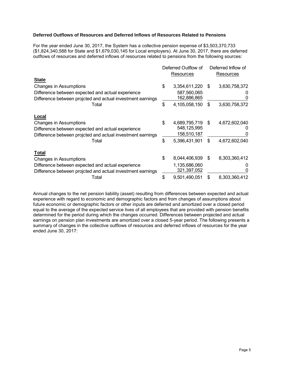#### **Deferred Outflows of Resources and Deferred Inflows of Resources Related to Pensions**

For the year ended June 30, 2017, the System has a collective pension expense of \$3,503,370,733 (\$1,824,340,588 for State and \$1,679,030,145 for Local employers). At June 30, 2017, there are deferred outflows of resources and deferred inflows of resources related to pensions from the following sources:

|                                                                                                                 | Deferred Outflow of<br>Resources |     | Deferred Inflow of<br>Resources |
|-----------------------------------------------------------------------------------------------------------------|----------------------------------|-----|---------------------------------|
| <b>State</b>                                                                                                    |                                  |     |                                 |
| Changes in Assumptions                                                                                          | \$<br>3,354,611,220              | S   | 3,630,758,372                   |
| Difference between expected and actual experience<br>Difference between projcted and actual investment earnings | 587,560,065<br>162,886,865       |     |                                 |
| Total                                                                                                           | \$<br>4,105,058,150              | \$. | 3,630,758,372                   |
| Local                                                                                                           |                                  |     |                                 |
| Changes in Assumptions                                                                                          | \$<br>4,689,795,719              | \$  | 4,672,602,040                   |
| Difference between expected and actual experience<br>Difference between projcted and actual investment earnings | 548,125,995<br>158,510,187       |     | 0                               |
| Total                                                                                                           | \$<br>5,396,431,901              | \$  | 4,672,602,040                   |
| <b>Total</b>                                                                                                    |                                  |     |                                 |
| Changes in Assumptions                                                                                          | \$<br>8,044,406,939              | S   | 8,303,360,412                   |
| Difference between expected and actual experience<br>Difference between projcted and actual investment earnings | 1,135,686,060<br>321,397,052     |     | 0                               |
| Total                                                                                                           | \$<br>9,501,490,051              | \$  | 8,303,360,412                   |

Annual changes to the net pension liability (asset) resulting from differences between expected and actual experience with regard to economic and demographic factors and from changes of assumptions about future economic or demographic factors or other inputs are deferred and amortized over a closed period equal to the average of the expected service lives of all employees that are provided with pension benefits determined for the period during which the changes occurred. Differences between projected and actual earnings on pension plan investments are amortized over a closed 5-year period. The following presents a summary of changes in the collective outflows of resources and deferred inflows of resources for the year ended June 30, 2017: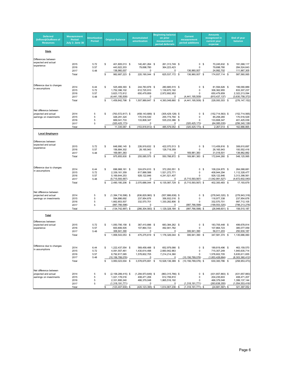| <b>Deferred</b><br>(Inflows)/Outflows of<br><b>Resources</b> | <b>Measurement</b><br><b>Period</b><br>July 1- June 30 | <b>Amortization</b><br><b>Period</b> |    | <b>Original balance</b>             | <b>Accumulated</b><br>amortization |                                     | <b>Beginning balance</b><br>on prior<br>measurement<br>period deferrals |                                     |      | <b>Current</b><br>measurement<br>period additions | <b>Amounts</b><br>recognized in<br>current year<br>expense |                                     | End of year<br>balance           |
|--------------------------------------------------------------|--------------------------------------------------------|--------------------------------------|----|-------------------------------------|------------------------------------|-------------------------------------|-------------------------------------------------------------------------|-------------------------------------|------|---------------------------------------------------|------------------------------------------------------------|-------------------------------------|----------------------------------|
| <b>State</b>                                                 |                                                        |                                      |    |                                     |                                    |                                     |                                                                         |                                     |      |                                                   |                                                            |                                     |                                  |
|                                                              |                                                        |                                      |    |                                     |                                    |                                     |                                                                         |                                     |      |                                                   |                                                            |                                     |                                  |
| Differences between<br>expected and actual                   |                                                        |                                      |    |                                     |                                    |                                     |                                                                         |                                     |      |                                                   |                                                            |                                     |                                  |
| experience                                                   | 2015                                                   | 5.72                                 | \$ | 401,805,013 \$                      |                                    | 140,491,264 \$                      |                                                                         | 261,313,749 \$                      |      | $\mathsf 0$                                       | -\$                                                        | 70,245,632 \$                       | 191,068,117                      |
|                                                              | 2016<br>2017                                           | 5.57<br>5.48                         |    | 443,922,203<br>136,960,007          |                                    | 79,698,780<br>0                     |                                                                         | 364,223,423<br>0                    |      | 0<br>136,960,007                                  |                                                            | 79,698,780<br>24,992,702            | 284,524,643<br>111,967,305       |
|                                                              | Total                                                  |                                      | \$ | 982,687,223 \$                      |                                    | 220, 190, 044 \$                    |                                                                         | 625,537,172 \$                      |      | 136,960,007 \$                                    |                                                            | 174,937,114 \$                      | 587,560,065                      |
|                                                              |                                                        |                                      |    |                                     |                                    |                                     |                                                                         |                                     |      |                                                   |                                                            |                                     |                                  |
| Difference due to changes                                    | 2014                                                   | 6.44                                 | \$ | 525,469,393 \$                      |                                    | 244,783,878 \$                      |                                                                         | 280,685,515 \$                      |      | $\mathsf 0$                                       | -S                                                         | 81,594,626 \$                       | 199,090,889                      |
| in assumptions                                               | 2015                                                   | 5.72                                 |    | 1,752,396,102                       |                                    | 612.725.910                         |                                                                         | 1,139,670,192                       |      | 0                                                 |                                                            | 306.362.955                         | 833, 307, 237                    |
|                                                              | 2016<br>2017                                           | 5.57<br>5.48                         |    | 3,623,172,812<br>(4,441,195,509)    |                                    | 650,479,859<br>0                    |                                                                         | 2,972,692,953<br>0                  |      | 0<br>(4, 441, 195, 509)                           |                                                            | 650,479,859<br>(810, 437, 137)      | 2,322,213,094<br>(3,630,758,372) |
|                                                              | Total                                                  |                                      | S  | 1,459,842,798                       | \$                                 | 1,507,989,647 \$                    |                                                                         | 4,393,048,660                       | -\$  | $(4,441,195,509)$ \$                              |                                                            | 228,000,303                         | \$<br>(276, 147, 152)            |
|                                                              |                                                        |                                      |    |                                     |                                    |                                     |                                                                         |                                     |      |                                                   |                                                            |                                     |                                  |
| Net difference between<br>projected and actual               | 2014                                                   | 5                                    | \$ | $(763, 572, 817)$ \$                |                                    | $(458, 143, 689)$ \$                |                                                                         | $(305, 429, 128)$ \$                |      | 0                                                 | -\$                                                        | $(152, 714, 563)$ \$                | (152, 714, 565)                  |
| earnings on investments                                      | 2015                                                   | 5                                    |    | 426,291,324                         |                                    | 170,516,530                         |                                                                         | 255,774,794                         | \$   | 0                                                 |                                                            | 85,258,265                          | 170,516,529                      |
|                                                              | 2016                                                   | 5                                    |    | 669,041,733                         |                                    | 133,808,347                         |                                                                         | 535,233,386                         | -\$  | 0                                                 |                                                            | 133,808,347                         | 401,425,039                      |
|                                                              | 2017<br>Total                                          | 5                                    | \$ | (320, 425, 173)<br>11,335,067       | \$                                 | 0<br>$(153, 818, 812)$ \$           |                                                                         | 0<br>485,579,052                    | \$   | (320, 425, 173)<br>$(320, 425, 173)$ \$           |                                                            | (64, 085, 035)<br>2,267,014 \$      | (256, 340, 138)<br>162,886,865   |
|                                                              |                                                        |                                      |    |                                     |                                    |                                     |                                                                         |                                     |      |                                                   |                                                            |                                     |                                  |
| <b>Local Employers</b>                                       |                                                        |                                      |    |                                     |                                    |                                     |                                                                         |                                     |      |                                                   |                                                            |                                     |                                  |
| Differences between<br>expected and actual                   |                                                        |                                      |    |                                     |                                    |                                     |                                                                         |                                     |      |                                                   |                                                            |                                     |                                  |
| experience                                                   | 2015                                                   | 5.72                                 | \$ | 648.990.145 \$                      |                                    | 226,919,632 \$                      |                                                                         | 422,070,513 \$                      |      | 0                                                 | \$                                                         | 113.459.816 \$                      | 308,610,697                      |
|                                                              | 2016<br>2017                                           | 5.57<br>5.48                         |    | 156,884,302<br>169,981,383          |                                    | 28, 165, 943<br>0                   |                                                                         | 128,718,359<br>0                    |      | 0<br>169,981,383                                  |                                                            | 28, 165, 943<br>31,018,501          | 100,552,416<br>138,962,882       |
|                                                              | Total                                                  |                                      | \$ | 975,855,830 \$                      |                                    | 255,085,575 \$                      |                                                                         | 550,788,872 \$                      |      | 169,981,383 \$                                    |                                                            | 172,644,260 \$                      | 548, 125, 995                    |
|                                                              |                                                        |                                      |    |                                     |                                    |                                     |                                                                         |                                     |      |                                                   |                                                            |                                     |                                  |
| Difference due to changes                                    | 2014                                                   | 6.44                                 | \$ | 696,968,161 \$                      |                                    | 324,674,610 \$                      |                                                                         | 372,293,551 \$                      |      | $\mathsf 0$                                       | -\$                                                        | 108,224,870 \$                      | 264,068,681                      |
| in assumptions                                               | 2015                                                   | 5.72                                 |    | 2,339,161,359                       |                                    | 817,888,588                         |                                                                         | 1,521,272,771                       |      | 0                                                 |                                                            | 408,944,294                         | 1,112,328,477                    |
|                                                              | 2016                                                   | 5.57                                 |    | 5, 169, 644, 253                    |                                    | 928, 122, 846                       |                                                                         | 4,241,521,407                       |      | $\mathbf 0$                                       |                                                            | 928, 122, 846                       | 3,313,398,561                    |
|                                                              | 2017<br>Total                                          | 5.48                                 | S  | (5,715,593,567)<br>2,490,180,206 \$ |                                    | 0<br>2,070,686,044 \$               |                                                                         | 0<br>6,135,087,729 \$               |      | (5,715,593,567)<br>$(5,715,593,567)$ \$           |                                                            | (1,042,991,527)<br>402,300,483 \$   | (4,672,602,040)<br>17, 193, 679  |
|                                                              |                                                        |                                      |    |                                     |                                    |                                     |                                                                         |                                     |      |                                                   |                                                            |                                     |                                  |
| Net difference between                                       |                                                        |                                      |    |                                     |                                    |                                     |                                                                         |                                     |      |                                                   |                                                            |                                     |                                  |
| projected and actual<br>earnings on investments              | 2014<br>2015                                           | 5<br>5                               | \$ | $(1,394,716,598)$ \$<br>594,886,692 |                                    | $(836, 829, 960)$ \$<br>237,954,676 |                                                                         | $(557, 886, 638)$ \$<br>356,932,016 | - \$ | 0<br>0                                            | \$                                                         | $(278, 943, 320)$ \$<br>118,977,338 | (278, 943, 318)<br>237,954,678   |
|                                                              | 2016                                                   | 5                                    |    | 1,662,853,507                       |                                    | 332,570,701                         |                                                                         | 1,330,282,806 \$                    |      | 0                                                 |                                                            | 332,570,701                         | 997,712,105                      |
|                                                              | 2017                                                   | 5                                    |    | (997, 766, 598)                     |                                    | 0                                   |                                                                         | 0                                   |      | (997, 766, 598)                                   |                                                            | (199, 553, 320)                     | (798,213,278)                    |
|                                                              | Total                                                  |                                      | \$ | $(134, 742, 997)$ \$                |                                    | $(266, 304, 583)$ \$                |                                                                         | 1,129,328,184                       | \$   | $(997, 766, 598)$ \$                              |                                                            | $(26,948,601)$ \$                   | 158,510,187                      |
| Total                                                        |                                                        |                                      |    |                                     |                                    |                                     |                                                                         |                                     |      |                                                   |                                                            |                                     |                                  |
| Differences between                                          |                                                        |                                      |    |                                     |                                    |                                     |                                                                         |                                     |      |                                                   |                                                            |                                     |                                  |
| expected and actual<br>experience                            | 2015<br>2016                                           | 5.72<br>5.57                         | \$ | 1,050,795,158<br>600,806,505        | - \$                               | 367,410,896 \$<br>107,864,723       |                                                                         | 683,384,262 \$<br>492.941.782       |      | $\mathsf 0$<br>0                                  | \$                                                         | 183,705,448 \$<br>107,864,723       | 499,678,814<br>385,077,059       |
|                                                              | 2017                                                   | 5.48                                 |    | 306,941,390                         |                                    | 0                                   |                                                                         | 0                                   |      | 306,941,390                                       |                                                            | 56,011,203                          | 250,930,187                      |
|                                                              | Total                                                  |                                      | \$ | 1,958,543,053 \$                    |                                    | 475,275,619 \$                      |                                                                         | 1,176,326,044 \$                    |      | 306,941,390 \$                                    |                                                            | 347,581,374 \$                      | 1.135.686.060                    |
|                                                              |                                                        |                                      |    |                                     |                                    |                                     |                                                                         |                                     |      |                                                   |                                                            |                                     |                                  |
| Difference due to changes<br>in assumptions                  | 2014                                                   | 6.44                                 | \$ | 1,222,437,554 \$                    |                                    | 569,458,488 \$                      |                                                                         | 652,979,066 \$                      |      | $\mathsf 0$                                       | -\$                                                        | 189,819,496 \$                      | 463, 159, 570                    |
|                                                              | 2015<br>2016                                           | 5.72<br>5.57                         |    | 4,091,557,461<br>8,792,817,065      |                                    | 1,430,614,498<br>1,578,602,705      |                                                                         | 2,660,942,963<br>7,214,214,360      |      | 0<br>$\Omega$                                     |                                                            | 715,307,249<br>1,578,602,705        | 1,945,635,714<br>5,635,611,655   |
|                                                              | 2017                                                   | 5.48                                 |    | (10, 156, 789, 076)                 |                                    | 0                                   |                                                                         | $\mathbf 0$                         |      | (10, 156, 789, 076)                               |                                                            | (1,853,428,664)                     | (8,303,360,412)                  |
|                                                              | Total                                                  |                                      | \$ | 3,950,023,004                       | \$                                 | 3,578,675,691 \$                    |                                                                         | 10.528.136.389                      | \$   | $(10, 156, 789, 076)$ \$                          |                                                            | 630,300,786 \$                      | (258, 953, 473)                  |
|                                                              |                                                        |                                      |    |                                     |                                    |                                     |                                                                         |                                     |      |                                                   |                                                            |                                     |                                  |
| Net difference between<br>projected and actual               | 2014                                                   | 5                                    | \$ | $(2, 158, 289, 415)$ \$             |                                    | $(1, 294, 973, 649)$ \$             |                                                                         | $(863, 315, 766)$ \$                |      | 0                                                 | \$                                                         | $(431, 657, 883)$ \$                | (431, 657, 883)                  |
| earnings on investments                                      | 2015                                                   | 5                                    |    | 1,021,178,016                       |                                    | 408,471,206                         |                                                                         | 612,706,810                         |      | 0                                                 |                                                            | 204,235,603                         | 408,471,207                      |
|                                                              | 2016<br>2017                                           | 5<br>5                               |    | 2,331,895,240<br>(1,318,191,771)    |                                    | 466,379,048<br>0                    |                                                                         | 1,865,516,192<br>0                  |      | 0<br>(1,318,191,771)                              |                                                            | 466,379,048<br>(263, 638, 355)      | 1,399,137,144<br>(1,054,553,416) |
|                                                              | Total                                                  |                                      | \$ | $(123, 407, 930)$ \$                |                                    | (420, 123, 395) \$                  |                                                                         | 1,614,907,236                       | \$   | $(1,318,191,771)$ \$                              |                                                            | $(24, 681, 587)$ \$                 | 321,397,052                      |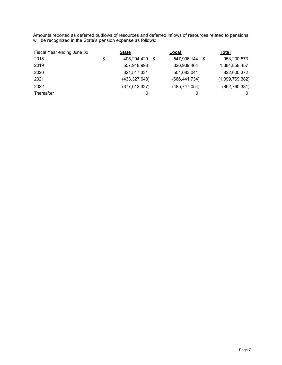Amounts reported as deferred outflows of resources and deferred inflows of resources related to pensions will be recognized in the State's pension expense as follows:

| Fiscal Year ending June 30 | <b>State</b>      | Local               | Total               |
|----------------------------|-------------------|---------------------|---------------------|
| 2018                       | 405,204,429<br>\$ | 547,996,144<br>- \$ | 953,200,573<br>- \$ |
| 2019                       | 557,918,993       | 826,939,464         | 1,384,858,457       |
| 2020                       | 321,517,331       | 501,083,041         | 822,600,372         |
| 2021                       | (433, 327, 648)   | (666, 441, 734)     | (1,099,769,382)     |
| 2022                       | (377, 013, 327)   | (485, 747, 054)     | (862, 760, 381)     |
| Thereafter                 | 0                 | 0                   | 0                   |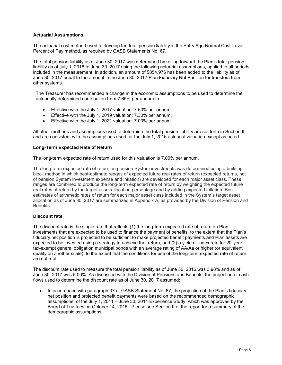#### **Actuarial Assumptions**

The actuarial cost method used to develop the total pension liability is the Entry Age Normal Cost-Level Percent of Pay method, as required by GASB Statements No. 67.

The total pension liability as of June 30, 2017 was determined by rolling forward the Plan's total pension liability as of July 1, 2016 to June 30, 2017 using the following actuarial assumptions, applied to all periods included in the measurement. In addition, an amount of \$854,976 has been added to the liability as of June 30, 2017 equal to the amount in the June 30, 2017 Plan Fiduciary Net Position for transfers from other systems.

The Treasurer has recommended a change in the economic assumptions to be used to determine the actuarially determined contribution from 7.65% per annum to:

- Effective with the July 1, 2017 valuation: 7.50% per annum,
- Effective with the July 1, 2019 valuation: 7.30% per annum,
- Effective with the July 1, 2021 valuation: 7.00% per annum.

All other methods and assumptions used to determine the total pension liability are set forth in Section II and are consistent with the assumptions used for the July 1, 2016 actuarial valuation except as noted.

#### **Long-Term Expected Rate of Return**

The long-term expected rate of return used for this valuation is 7.00% per annum.

The long-term expected rate of return on pension System investments was determined using a buildingblock method in which best-estimate ranges of expected future real rates of return (expected returns, net of pension System investment expense and inflation) are developed for each major asset class. These ranges are combined to produce the long-term expected rate of return by weighting the expected future real rates of return by the target asset allocation percentage and by adding expected inflation. Best estimates of arithmetic rates of return for each major asset class included in the System's target asset allocation as of June 30, 2017 are summarized in Appendix A, as provided by the Division of Pension and Benefits.

#### **Discount rate**

The discount rate is the single rate that reflects (1) the long-term expected rate of return on Plan investments that are expected to be used to finance the payment of benefits, to the extent that the Plan's fiduciary net position is projected to be sufficient to make projected benefit payments and Plan assets are expected to be invested using a strategy to achieve that return, and (2) a yield or index rate for 20-year, tax-exempt general obligation municipal bonds with an average rating of AA/Aa or higher (or equivalent quality on another scale), to the extent that the conditions for use of the long-term expected rate of return are not met.

The discount rate used to measure the total pension liability as of June 30, 2016 was 3.98% and as of June 30, 2017 was 5.00%. As discussed with the Division of Pensions and Benefits, the projection of cash flows used to determine the discount rate as of June 30, 2017 assumed:

 In accordance with paragraph 37 of GASB Statement No. 67, the projection of the Plan's fiduciary net position and projected benefit payments were based on the recommended demographic assumptions of the July 1, 2011 – June 30, 2014 Experience Study, which was approved by the Board of Trustees on October 14, 2015. Please see Section II of the report for a summary of the demographic assumptions.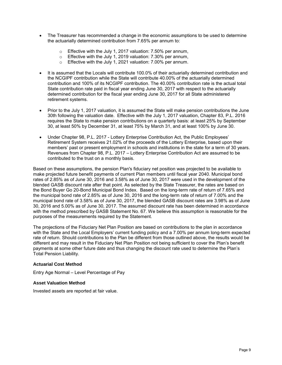- The Treasurer has recommended a change in the economic assumptions to be used to determine the actuarially determined contribution from 7.65% per annum to:
	- o Effective with the July 1, 2017 valuation: 7.50% per annum,
	- o Effective with the July 1, 2019 valuation: 7.30% per annum,
	- o Effective with the July 1, 2021 valuation: 7.00% per annum.
- It is assumed that the Locals will contribute 100.0% of their actuarially determined contribution and the NCGIPF contribution while the State will contribute 40.00% of the actuarially determined contribution and 100% of its NCGIPF contribution. The 40.00% contribution rate is the actual total State contribution rate paid in fiscal year ending June 30, 2017 with respect to the actuarially determined contribution for the fiscal year ending June 30, 2017 for all State administered retirement systems.
- Prior to the July 1, 2017 valuation, it is assumed the State will make pension contributions the June 30th following the valuation date. Effective with the July 1, 2017 valuation, Chapter 83, P.L. 2016 requires the State to make pension contributions on a quarterly basis: at least 25% by September 30, at least 50% by December 31, at least 75% by March 31, and at least 100% by June 30.
- Under Chapter 98, P.L. 2017 Lottery Enterprise Contribution Act, the Public Employees' Retirement System receives 21.02% of the proceeds of the Lottery Enterprise, based upon their members' past or present employment in schools and institutions in the state for a term of 30 years. Revenues from Chapter 98, P.L. 2017 – Lottery Enterprise Contribution Act are assumed to be contributed to the trust on a monthly basis.

Based on these assumptions, the pension Plan's fiduciary net position was projected to be available to make projected future benefit payments of current Plan members until fiscal year 2040. Municipal bond rates of 2.85% as of June 30, 2016 and 3.58% as of June 30, 2017 were used in the development of the blended GASB discount rate after that point. As selected by the State Treasurer, the rates are based on the Bond Buyer Go 20-Bond Municipal Bond Index. Based on the long-term rate of return of 7.65% and the municipal bond rate of 2.85% as of June 30, 2016 and the long-term rate of return of 7.00% and the municipal bond rate of 3.58% as of June 30, 2017, the blended GASB discount rates are 3.98% as of June 30, 2016 and 5.00% as of June 30, 2017. The assumed discount rate has been determined in accordance with the method prescribed by GASB Statement No. 67. We believe this assumption is reasonable for the purposes of the measurements required by the Statement.

The projections of the Fiduciary Net Plan Position are based on contributions to the plan in accordance with the State and the Local Employers' current funding policy and a 7.00% per annum long-term expected rate of return. Should contributions to the Plan be different from those outlined above, the results would be different and may result in the Fiduciary Net Plan Position not being sufficient to cover the Plan's benefit payments at some other future date and thus changing the discount rate used to determine the Plan's Total Pension Liability.

#### **Actuarial Cost Method**

Entry Age Normal – Level Percentage of Pay

#### **Asset Valuation Method**

Invested assets are reported at fair value.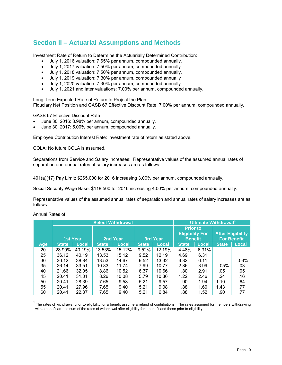### **Section II – Actuarial Assumptions and Methods**

Investment Rate of Return to Determine the Actuarially Determined Contribution:

- July 1, 2016 valuation: 7.65% per annum, compounded annually.
- July 1, 2017 valuation: 7.50% per annum, compounded annually.
- July 1, 2018 valuation: 7.50% per annum, compounded annually.
- July 1, 2019 valuation: 7.30% per annum, compounded annually
- July 1, 2020 valuation: 7.30% per annum, compounded annually.
- July 1, 2021 and later valuations: 7.00% per annum, compounded annually.

Long-Term Expected Rate of Return to Project the Plan Fiduciary Net Position and GASB 67 Effective Discount Rate: 7.00% per annum, compounded annually.

GASB 67 Effective Discount Rate

- June 30, 2016: 3.98% per annum, compounded annually.
- June 30, 2017: 5.00% per annum, compounded annually.

Employee Contribution Interest Rate: Investment rate of return as stated above.

COLA: No future COLA is assumed.

Separations from Service and Salary Increases: Representative values of the assumed annual rates of separation and annual rates of salary increases are as follows:

401(a)(17) Pay Limit: \$265,000 for 2016 increasing 3.00% per annum, compounded annually.

Social Security Wage Base: \$118,500 for 2016 increasing 4.00% per annum, compounded annually.

Representative values of the assumed annual rates of separation and annual rates of salary increases are as follows:

Annual Rates of

|     |                 |              |              | <b>Select Withdrawal</b> |              |                                                                                | Ultimate Withdrawal <sup>1</sup> |              |              |                                                |
|-----|-----------------|--------------|--------------|--------------------------|--------------|--------------------------------------------------------------------------------|----------------------------------|--------------|--------------|------------------------------------------------|
|     | <b>1st Year</b> |              |              | 2nd Year                 |              | <b>Prior to</b><br><b>Eligibility For</b><br><b>3rd Year</b><br><b>Benefit</b> |                                  |              |              | <b>After Eligibility</b><br><b>For Benefit</b> |
| Age | <b>State</b>    | <b>Local</b> | <b>State</b> | <b>Local</b>             | <b>State</b> | Local                                                                          | <b>State</b>                     | <b>Local</b> | <b>State</b> | <b>Local</b>                                   |
| 20  | 28.90%          | 40.19%       | 13.53%       | 15.12%                   | 9.52%        | 12.19%                                                                         | 4.48%                            | 6.31%        |              |                                                |
| 25  | 36.12           | 40.19        | 13.53        | 15.12                    | 9.52         | 12.19                                                                          | 4.69                             | 6.31         |              |                                                |
| 30  | 36.12           | 38.84        | 13.53        | 14.67                    | 9.52         | 13.32                                                                          | 3.82                             | 6.11         |              | .03%                                           |
| 35  | 26.14           | 33.51        | 10.83        | 11.74                    | 7.99         | 10.77                                                                          | 2.86                             | 3.99         | $.05\%$      | .03                                            |
| 40  | 21.66           | 32.05        | 8.86         | 10.52                    | 6.37         | 10.66                                                                          | 1.80                             | 2.91         | .05          | .05                                            |
| 45  | 20.41           | 31.01        | 8.26         | 10.08                    | 5.79         | 10.36                                                                          | 1.22                             | 2.46         | .24          | .16                                            |
| 50  | 20.41           | 28.39        | 7.65         | 9.58                     | 5.21         | 9.57                                                                           | .90                              | 1.94         | 1.10         | .64                                            |
| 55  | 20.41           | 27.96        | 7.65         | 9.40                     | 5.21         | 9.08                                                                           | .88                              | 1.60         | 1.43         | .77                                            |
| 60  | 20.41           | 22.37        | 7.65         | 9.40                     | 5.21         | 6.84                                                                           | .88                              | 1.52         | .90          | .77                                            |

 $1$  The rates of withdrawal prior to eligibility for a benefit assume a refund of contributions. The rates assumed for members withdrawing with a benefit are the sum of the rates of withdrawal after eligibility for a benefit and those prior to eligibility.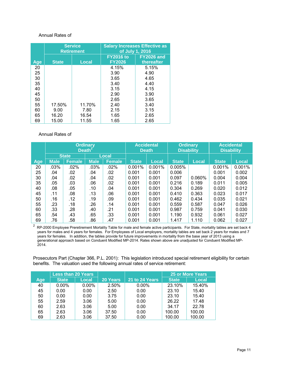#### Annual Rates of

|     | <b>Service</b><br><b>Retirement</b> |              | <b>Salary Increases Effective as</b><br>of July 1, 2016 |                                 |  |
|-----|-------------------------------------|--------------|---------------------------------------------------------|---------------------------------|--|
| Age | <b>State</b>                        | <b>Local</b> | <b>FY2016 to</b><br><b>FY2026</b>                       | <b>FY2026 and</b><br>thereafter |  |
| 20  |                                     |              | 4.15%                                                   | 5.15%                           |  |
| 25  |                                     |              | 3.90                                                    | 4.90                            |  |
| 30  |                                     |              | 3.65                                                    | 4.65                            |  |
| 35  |                                     |              | 3.40                                                    | 4.40                            |  |
| 40  |                                     |              | 3.15                                                    | 4.15                            |  |
| 45  |                                     |              | 2.90                                                    | 3.90                            |  |
| 50  |                                     |              | 2.65                                                    | 3.65                            |  |
| 55  | 17.50%                              | 11.70%       | 2.40                                                    | 3.40                            |  |
| 60  | 9.00                                | 7.80         | 2.15                                                    | 3.15                            |  |
| 65  | 16.20                               | 16.54        | 1.65                                                    | 2.65                            |  |
| 69  | 15.00                               | 11.55        | 1.65                                                    | 2.65                            |  |

#### Annual Rates of

|            | <b>Ordinary</b><br>Death <sup>2</sup> |               |             | <b>Accidental</b><br><b>Death</b> |              | <b>Ordinary</b><br><b>Disability</b> |              | <b>Accidental</b><br><b>Disability</b> |              |              |
|------------|---------------------------------------|---------------|-------------|-----------------------------------|--------------|--------------------------------------|--------------|----------------------------------------|--------------|--------------|
|            |                                       | <b>State</b>  | Local       |                                   |              |                                      |              |                                        |              |              |
| <b>Age</b> | <b>Male</b>                           | <b>Female</b> | <b>Male</b> | <b>Female</b>                     | <b>State</b> | <b>Local</b>                         | <b>State</b> | Local                                  | <b>State</b> | <b>Local</b> |
| 20         | .03%                                  | .02%          | .03%        | $.02\%$                           | 0.001%       | 0.001%                               | 0.005%       |                                        | 0.001%       | 0.001%       |
| 25         | .04                                   | .02           | .04         | .02                               | 0.001        | 0.001                                | 0.006        |                                        | 0.001        | 0.002        |
| 30         | .04                                   | .02           | .04         | .02                               | 0.001        | 0.001                                | 0.097        | $0.060\%$                              | 0.004        | 0.004        |
| 35         | .05                                   | .03           | .06         | .02                               | 0.001        | 0.001                                | 0.216        | 0.189                                  | 0.011        | 0.005        |
| 40         | .08                                   | .05           | .10         | .04                               | 0.001        | 0.001                                | 0.304        | 0.269                                  | 0.020        | 0.012        |
| 45         | .11                                   | .08           | .13         | .06                               | 0.001        | 0.001                                | 0.410        | 0.363                                  | 0.023        | 0.017        |
| 50         | .16                                   | .12           | .19         | .09                               | 0.001        | 0.001                                | 0.462        | 0.434                                  | 0.035        | 0.021        |
| 55         | .23                                   | .18           | .26         | .14                               | 0.001        | 0.001                                | 0.559        | 0.587                                  | 0.047        | 0.026        |
| 60         | .33                                   | .28           | .40         | .21                               | 0.001        | 0.001                                | 0.987        | 0.759                                  | 0.041        | 0.030        |
| 65         | .54                                   | .43           | .65         | .33                               | 0.001        | 0.001                                | 1.190        | 0.932                                  | 0.061        | 0.027        |
| 69         | .76                                   | .58           | .86         | .47                               | 0.001        | 0.001                                | 1.417        | 1.110                                  | 0.062        | 0.027        |

 $^2$  RP-2000 Employee Preretirement Mortality Table for male and female active participants. For State, mortality tables are set back 4 years for males and 4 years for females. For Employees of Local employers, mortality tables are set back 2 years for males and 7 years for females. In addition, the tables provide for future improvements in mortality from the base year of 2013 using a generational approach based on Conduent Modified MP-2014. Rates shown above are unadjusted for Conduent Modified MP-2014.

Prosecutors Part (Chapter 366, P.L. 2001): This legislation introduced special retirement eligibility for certain benefits. The valuation used the following annual rates of service retirement:

|            | <b>Less than 20 Years</b> |              |          |                | <b>25 or More Years</b> |              |
|------------|---------------------------|--------------|----------|----------------|-------------------------|--------------|
| <b>Age</b> | <b>State</b>              | <b>Local</b> | 20 Years | 21 to 24 Years | <b>State</b>            | <b>Local</b> |
| 40         | $0.00\%$                  | $0.00\%$     | 2.50%    | $0.00\%$       | 23.10%                  | 15.40%       |
| 45         | 0.00                      | 0.00         | 2.50     | 0.00           | 23.10                   | 15.40        |
| 50         | 0.00                      | 0.00         | 3.75     | 0.00           | 23.10                   | 15.40        |
| 55         | 2.59                      | 3.06         | 5.00     | 0.00           | 26.22                   | 17.48        |
| 60         | 2.63                      | 3.06         | 5.00     | 0.00           | 34.17                   | 22.78        |
| 65         | 2.63                      | 3.06         | 37.50    | 0.00           | 100.00                  | 100.00       |
| 69         | 2.63                      | 3.06         | 37.50    | 0.00           | 100.00                  | 100.00       |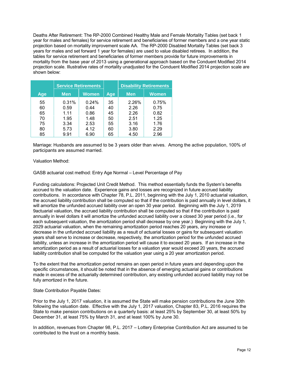Deaths After Retirement: The RP-2000 Combined Healthy Male and Female Mortality Tables (set back 1 year for males and females) for service retirement and beneficiaries of former members and a one year static projection based on mortality improvement scale AA. The RP-2000 Disabled Mortality Tables (set back 3 years for males and set forward 1 year for females) are used to value disabled retirees. In addition, the tables for service retirement and beneficiaries of former members provide for future improvements in mortality from the base year of 2013 using a generational approach based on the Conduent Modified 2014 projection scale. Illustrative rates of mortality unadjusted for the Conduent Modified 2014 projection scale are shown below:

|     | <b>Service Retirements</b> |       |     | <b>Disability Retirements</b> |              |
|-----|----------------------------|-------|-----|-------------------------------|--------------|
| Age | <b>Men</b>                 | Women | Age | <b>Men</b>                    | <b>Women</b> |
| 55  | 0.31%                      | 0.24% | 35  | 2.26%                         | 0.75%        |
| 60  | 0.59                       | 0.44  | 40  | 2.26                          | 0.75         |
| 65  | 1.11                       | 0.86  | 45  | 2.26                          | 0.82         |
| 70  | 1.95                       | 1.48  | 50  | 2.51                          | 1.25         |
| 75  | 3.34                       | 2.53  | 55  | 3.16                          | 1.76         |
| 80  | 5.73                       | 4.12  | 60  | 3.80                          | 2.29         |
| 85  | 9.91                       | 6.90  | 65  | 4.50                          | 2.96         |

Marriage: Husbands are assumed to be 3 years older than wives. Among the active population, 100% of participants are assumed married.

Valuation Method:

GASB actuarial cost method: Entry Age Normal – Level Percentage of Pay

Funding calculations: Projected Unit Credit Method. This method essentially funds the System's benefits accrued to the valuation date. Experience gains and losses are recognized in future accrued liability contributions. In accordance with Chapter 78, P.L. 2011, beginning with the July 1, 2010 actuarial valuation, the accrued liability contribution shall be computed so that if the contribution is paid annually in level dollars, it will amortize the unfunded accrued liability over an open 30 year period. Beginning with the July 1, 2019 9actuarial valuation, the accrued liability contribution shall be computed so that if the contribution is paid annually in level dollars it will amortize the unfunded accrued liability over a closed 30 year period (i.e., for each subsequent valuation, the amortization period shall decrease by one year.) Beginning with the July 1, 2029 actuarial valuation, when the remaining amortization period reaches 20 years, any increase or decrease in the unfunded accrued liability as a result of actuarial losses or gains for subsequent valuation years shall serve to increase or decrease, respectively, the amortization period for the unfunded accrued liability, unless an increase in the amortization period will cause it to exceed 20 years. If an increase in the amortization period as a result of actuarial losses for a valuation year would exceed 20 years, the accrued liability contribution shall be computed for the valuation year using a 20 year amortization period.

To the extent that the amortization period remains an open period in future years and depending upon the specific circumstances, it should be noted that in the absence of emerging actuarial gains or contributions made in excess of the actuarially determined contribution, any existing unfunded accrued liability may not be fully amortized in the future.

State Contribution Payable Dates:

Prior to the July 1, 2017 valuation, it is assumed the State will make pension contributions the June 30th following the valuation date. Effective with the July 1, 2017 valuation, Chapter 83, P.L. 2016 requires the State to make pension contributions on a quarterly basis: at least 25% by September 30, at least 50% by December 31, at least 75% by March 31, and at least 100% by June 30.

In addition, revenues from Chapter 98, P.L. 2017 – Lottery Enterprise Contribution Act are assumed to be contributed to the trust on a monthly basis.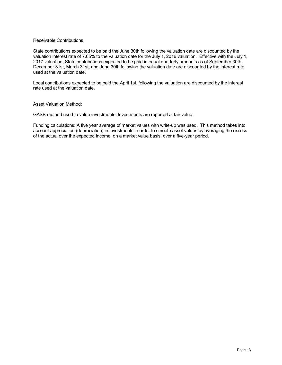#### Receivable Contributions:

State contributions expected to be paid the June 30th following the valuation date are discounted by the valuation interest rate of 7.65% to the valuation date for the July 1, 2016 valuation. Effective with the July 1, 2017 valuation, State contributions expected to be paid in equal quarterly amounts as of September 30th, December 31st, March 31st, and June 30th following the valuation date are discounted by the interest rate used at the valuation date.

Local contributions expected to be paid the April 1st, following the valuation are discounted by the interest rate used at the valuation date.

Asset Valuation Method:

GASB method used to value investments: Investments are reported at fair value.

Funding calculations: A five year average of market values with write-up was used. This method takes into account appreciation (depreciation) in investments in order to smooth asset values by averaging the excess of the actual over the expected income, on a market value basis, over a five-year period.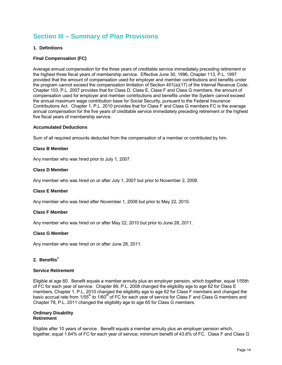## **Section III – Summary of Plan Provisions**

#### **1. Definitions**

#### **Final Compensation (FC)**

Average annual compensation for the three years of creditable service immediately preceding retirement or the highest three fiscal years of membership service. Effective June 30, 1996, Chapter 113, P.L. 1997 provided that the amount of compensation used for employer and member contributions and benefits under the program cannot exceed the compensation limitation of Section 401(a)(17) of the Internal Revenue Code. Chapter 103, P.L. 2007 provides that for Class D, Class E, Class F and Class G members, the amount of compensation used for employer and member contributions and benefits under the System cannot exceed the annual maximum wage contribution base for Social Security, pursuant to the Federal Insurance Contributions Act. Chapter 1, P.L. 2010 provides that for Class F and Class G members FC is the average annual compensation for the five years of creditable service immediately preceding retirement or the highest five fiscal years of membership service.

#### **Accumulated Deductions**

Sum of all required amounts deducted from the compensation of a member or contributed by him.

#### **Class B Member**

Any member who was hired prior to July 1, 2007.

#### **Class D Member**

Any member who was hired on or after July 1, 2007 but prior to November 2, 2008.

#### **Class E Member**

Any member who was hired after November 1, 2008 but prior to May 22, 2010.

#### **Class F Member**

Any member who was hired on or after May 22, 2010 but prior to June 28, 2011.

#### **Class G Member**

Any member who was hired on or after June 28, 2011.

#### **2. Benefits<sup>1</sup>**

#### **Service Retirement**

Eligible at age 60. Benefit equals a member annuity plus an employer pension, which together, equal 1/55th of FC for each year of service. Chapter 89, P.L. 2008 changed the eligibility age to age 62 for Class E members, Chapter 1, P.L. 2010 changed the eligibility age to age 62 for Class F members and changed the basic accrual rate from 1/55<sup>th</sup> to 1/60<sup>th</sup> of FC for each year of service for Class F and Class G members and Chapter 78, P.L. 2011 changed the eligibility age to age 65 for Class G members.

#### **Ordinary Disability Retirement**

Eligible after 10 years of service. Benefit equals a member annuity plus an employer pension which, together, equal 1.64% of FC for each year of service; minimum benefit of 43.6% of FC. Class F and Class G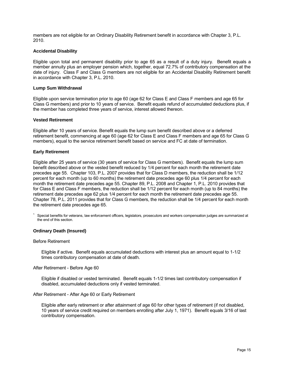members are not eligible for an Ordinary Disability Retirement benefit in accordance with Chapter 3, P.L. 2010.

#### **Accidental Disability**

Eligible upon total and permanent disability prior to age 65 as a result of a duty injury. Benefit equals a member annuity plus an employer pension which, together, equal 72.7% of contributory compensation at the date of injury. Class F and Class G members are not eligible for an Accidental Disability Retirement benefit in accordance with Chapter 3, P.L. 2010.

#### **Lump Sum Withdrawal**

Eligible upon service termination prior to age 60 (age 62 for Class E and Class F members and age 65 for Class G members) and prior to 10 years of service. Benefit equals refund of accumulated deductions plus, if the member has completed three years of service, interest allowed thereon.

#### **Vested Retirement**

Eligible after 10 years of service. Benefit equals the lump sum benefit described above or a deferred retirement benefit, commencing at age 60 (age 62 for Class E and Class F members and age 65 for Class G members), equal to the service retirement benefit based on service and FC at date of termination.

#### **Early Retirement**

Eligible after 25 years of service (30 years of service for Class G members). Benefit equals the lump sum benefit described above or the vested benefit reduced by 1/4 percent for each month the retirement date precedes age 55. Chapter 103, P.L. 2007 provides that for Class D members, the reduction shall be 1/12 percent for each month (up to 60 months) the retirement date precedes age 60 plus 1/4 percent for each month the retirement date precedes age 55. Chapter 89, P.L. 2008 and Chapter 1, P.L. 2010 provides that for Class E and Class F members, the reduction shall be 1/12 percent for each month (up to 84 months) the retirement date precedes age 62 plus 1/4 percent for each month the retirement date precedes age 55. Chapter 78, P.L. 2011 provides that for Class G members, the reduction shall be 1/4 percent for each month the retirement date precedes age 65.

 $1$  Special benefits for veterans, law enforcement officers, legislators, prosecutors and workers compensation judges are summarized at the end of this section.

#### **Ordinary Death (Insured)**

#### Before Retirement

Eligible if active. Benefit equals accumulated deductions with interest plus an amount equal to 1-1/2 times contributory compensation at date of death.

#### After Retirement - Before Age 60

Eligible if disabled or vested terminated. Benefit equals 1-1/2 times last contributory compensation if disabled, accumulated deductions only if vested terminated.

#### After Retirement - After Age 60 or Early Retirement

Eligible after early retirement or after attainment of age 60 for other types of retirement (if not disabled, 10 years of service credit required on members enrolling after July 1, 1971). Benefit equals 3/16 of last contributory compensation.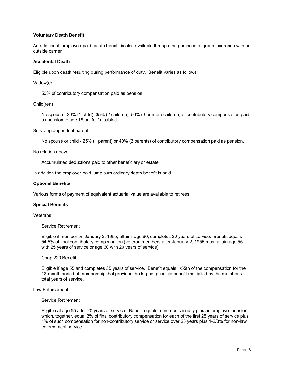#### **Voluntary Death Benefit**

An additional, employee-paid, death benefit is also available through the purchase of group insurance with an outside carrier.

#### **Accidental Death**

Eligible upon death resulting during performance of duty. Benefit varies as follows:

Widow(er)

50% of contributory compensation paid as pension.

#### Child(ren)

No spouse - 20% (1 child), 35% (2 children), 50% (3 or more children) of contributory compensation paid as pension to age 18 or life if disabled.

Surviving dependent parent

No spouse or child - 25% (1 parent) or 40% (2 parents) of contributory compensation paid as pension.

No relation above

Accumulated deductions paid to other beneficiary or estate.

In addition the employer-paid lump sum ordinary death benefit is paid.

#### **Optional Benefits**

Various forms of payment of equivalent actuarial value are available to retirees.

#### **Special Benefits**

#### **Veterans**

Service Retirement

Eligible if member on January 2, 1955, attains age 60, completes 20 years of service. Benefit equals 54.5% of final contributory compensation (veteran members after January 2, 1955 must attain age 55 with 25 years of service or age 60 with 20 years of service).

#### Chap 220 Benefit

Eligible if age 55 and completes 35 years of service. Benefit equals 1/55th of the compensation for the 12-month period of membership that provides the largest possible benefit multiplied by the member's total years of service.

Law Enforcement

#### Service Retirement

Eligible at age 55 after 20 years of service. Benefit equals a member annuity plus an employer pension which, together, equal 2% of final contributory compensation for each of the first 25 years of service plus 1% of such compensation for non-contributory service or service over 25 years plus 1-2/3% for non-law enforcement service.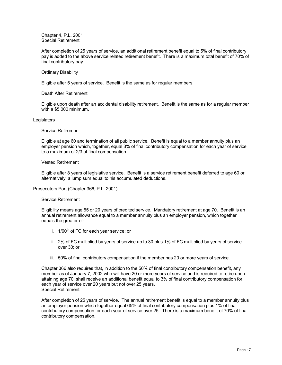Chapter 4, P.L. 2001 Special Retirement

After completion of 25 years of service, an additional retirement benefit equal to 5% of final contributory pay is added to the above service related retirement benefit. There is a maximum total benefit of 70% of final contributory pay.

#### Ordinary Disability

Eligible after 5 years of service. Benefit is the same as for regular members.

#### Death After Retirement

Eligible upon death after an accidental disability retirement. Benefit is the same as for a regular member with a \$5,000 minimum.

#### **Legislators**

#### Service Retirement

Eligible at age 60 and termination of all public service. Benefit is equal to a member annuity plus an employer pension which, together, equal 3% of final contributory compensation for each year of service to a maximum of 2/3 of final compensation.

#### Vested Retirement

Eligible after 8 years of legislative service. Benefit is a service retirement benefit deferred to age 60 or, alternatively, a lump sum equal to his accumulated deductions.

#### Prosecutors Part (Chapter 366, P.L. 2001)

#### Service Retirement

Eligibility means age 55 or 20 years of credited service. Mandatory retirement at age 70. Benefit is an annual retirement allowance equal to a member annuity plus an employer pension, which together equals the greater of:

- i.  $1/60^{th}$  of FC for each year service; or
- ii. 2% of FC multiplied by years of service up to 30 plus 1% of FC multiplied by years of service over 30; or
- iii. 50% of final contributory compensation if the member has 20 or more years of service.

Chapter 366 also requires that, in addition to the 50% of final contributory compensation benefit, any member as of January 7, 2002 who will have 20 or more years of service and is required to retire upon attaining age 70, shall receive an additional benefit equal to 3% of final contributory compensation for each year of service over 20 years but not over 25 years. Special Retirement

After completion of 25 years of service. The annual retirement benefit is equal to a member annuity plus an employer pension which together equal 65% of final contributory compensation plus 1% of final contributory compensation for each year of service over 25. There is a maximum benefit of 70% of final contributory compensation.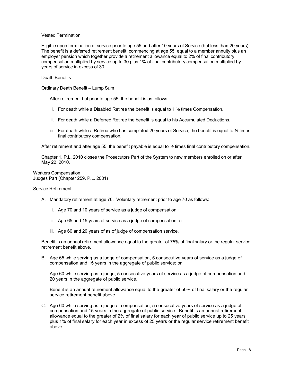#### Vested Termination

Eligible upon termination of service prior to age 55 and after 10 years of Service (but less than 20 years). The benefit is a deferred retirement benefit, commencing at age 55, equal to a member annuity plus an employer pension which together provide a retirement allowance equal to 2% of final contributory compensation multiplied by service up to 30 plus 1% of final contributory compensation multiplied by years of service in excess of 30.

#### Death Benefits

Ordinary Death Benefit – Lump Sum

After retirement but prior to age 55, the benefit is as follows:

- i. For death while a Disabled Retiree the benefit is equal to 1  $\frac{1}{2}$  times Compensation.
- ii. For death while a Deferred Retiree the benefit is equal to his Accumulated Deductions.
- iii. For death while a Retiree who has completed 20 years of Service, the benefit is equal to  $\frac{1}{2}$  times final contributory compensation.

After retirement and after age 55, the benefit payable is equal to  $\frac{1}{2}$  times final contributory compensation.

Chapter 1, P.L. 2010 closes the Prosecutors Part of the System to new members enrolled on or after May 22, 2010.

Workers Compensation Judges Part (Chapter 259, P.L. 2001)

#### Service Retirement

- A. Mandatory retirement at age 70. Voluntary retirement prior to age 70 as follows:
	- i. Age 70 and 10 years of service as a judge of compensation;
	- ii. Age 65 and 15 years of service as a judge of compensation; or
	- iii. Age 60 and 20 years of as of judge of compensation service.

Benefit is an annual retirement allowance equal to the greater of 75% of final salary or the regular service retirement benefit above.

B. Age 65 while serving as a judge of compensation, 5 consecutive years of service as a judge of compensation and 15 years in the aggregate of public service; or

Age 60 while serving as a judge, 5 consecutive years of service as a judge of compensation and 20 years in the aggregate of public service.

Benefit is an annual retirement allowance equal to the greater of 50% of final salary or the regular service retirement benefit above.

C. Age 60 while serving as a judge of compensation, 5 consecutive years of service as a judge of compensation and 15 years in the aggregate of public service. Benefit is an annual retirement allowance equal to the greater of 2% of final salary for each year of public service up to 25 years plus 1% of final salary for each year in excess of 25 years or the regular service retirement benefit above.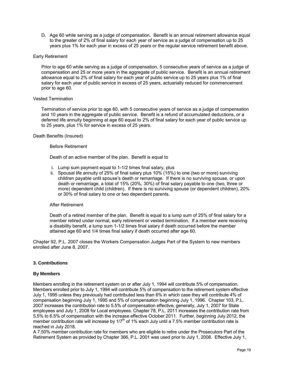D. Age 60 while serving as a judge of compensation. Benefit is an annual retirement allowance equal to the greater of 2% of final salary for each year of service as a judge of compensation up to 25 years plus 1% for each year in excess of 25 years or the regular service retirement benefit above.

#### Early Retirement

Prior to age 60 while serving as a judge of compensation, 5 consecutive years of service as a judge of compensation and 25 or more years in the aggregate of public service. Benefit is an annual retirement allowance equal to 2% of final salary for each year of public service up to 25 years plus 1% of final salary for each year of public service in excess of 25 years, actuarially reduced for commencement prior to age 60.

#### Vested Termination

Termination of service prior to age 60, with 5 consecutive years of service as a judge of compensation and 10 years in the aggregate of public service. Benefit is a refund of accumulated deductions, or a deferred life annuity beginning at age 60 equal to 2% of final salary for each year of public service up to 25 years, plus 1% for service in excess of 25 years.

#### Death Benefits (Insured)

#### Before Retirement

Death of an active member of the plan. Benefit is equal to

- i. Lump sum payment equal to 1-1/2 times final salary, plus
- ii. Spousal life annuity of 25% of final salary plus 10% (15%) to one (two or more) surviving children payable until spouse's death or remarriage. If there is no surviving spouse, or upon death or remarriage, a total of 15% (20%, 30%) of final salary payable to one (two, three or more) dependent child (children). If there is no surviving spouse (or dependent children), 20% or 30% of final salary to one or two dependent parents.

#### After Retirement

Death of a retired member of the plan. Benefit is equal to a lump sum of 25% of final salary for a member retired under normal, early retirement or vested termination. If a member were receiving a disability benefit, a lump sum 1-1/2 times final salary if death occurred before the member attained age 60 and 1/4 times final salary if death occurred after age 60.

Chapter 92, P.L. 2007 closes the Workers Compensation Judges Part of the System to new members enrolled after June 8, 2007.

#### **3. Contributions**

#### **By Members**

Members enrolling in the retirement system on or after July 1, 1994 will contribute 5% of compensation. Members enrolled prior to July 1, 1994 will contribute 5% of compensation to the retirement system effective July 1, 1995 unless they previously had contributed less than 6% in which case they will contribute 4% of compensation beginning July 1, 1995 and 5% of compensation beginning July 1, 1996. Chapter 103, P.L. 2007 increases the contribution rate to 5.5% of compensation effective, generally, July 1, 2007 for State employees and July 1, 2008 for Local employees. Chapter 78, P.L. 2011 increases the contribution rate from 5.5% to 6.5% of compensation with the increase effective October 2011. Further, beginning July 2012, the member contribution rate will increase by  $1/7<sup>th</sup>$  of 1% each July until a 7.5% member contribution rate is reached in July 2018.

A 7.50% member contribution rate for members who are eligible to retire under the Prosecutors Part of the Retirement System as provided by Chapter 366, P.L. 2001 was used prior to July 1, 2008. Effective July 1,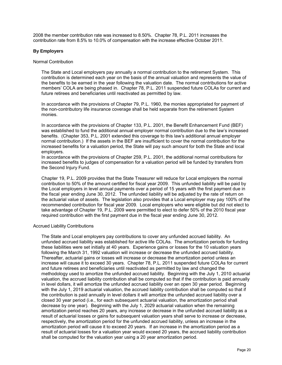2008 the member contribution rate was increased to 8.50%. Chapter 78, P.L. 2011 increases the contribution rate from 8.5% to 10.0% of compensation with the increase effective October 2011.

#### **By Employers**

#### Normal Contribution

The State and Local employers pay annually a normal contribution to the retirement System. This contribution is determined each year on the basis of the annual valuation and represents the value of the benefits to be earned in the year following the valuation date. The normal contributions for active members' COLA are being phased in. Chapter 78, P.L. 2011 suspended future COLAs for current and future retirees and beneficiaries until reactivated as permitted by law.

In accordance with the provisions of Chapter 79, P.L. 1960, the monies appropriated for payment of the non-contributory life insurance coverage shall be held separate from the retirement System monies.

In accordance with the provisions of Chapter 133, P.L. 2001, the Benefit Enhancement Fund (BEF) was established to fund the additional annual employer normal contribution due to the law's increased benefits. (Chapter 353, P.L. 2001 extended this coverage to this law's additional annual employer normal contribution.) If the assets in the BEF are insufficient to cover the normal contribution for the increased benefits for a valuation period, the State will pay such amount for both the State and local employers.

In accordance with the provisions of Chapter 259, P.L. 2001, the additional normal contributions for increased benefits to judges of compensation for a valuation period will be funded by transfers from the Second Injury Fund.

Chapter 19, P.L. 2009 provides that the State Treasurer will reduce for Local employers the normal contribution to 50% of the amount certified for fiscal year 2009. This unfunded liability will be paid by the Local employers in level annual payments over a period of 15 years with the first payment due in the fiscal year ending June 30, 2012. The unfunded liability will be adjusted by the rate of return on the actuarial value of assets. The legislation also provides that a Local employer may pay 100% of the recommended contribution for fiscal year 2009. Local employers who were eligible but did not elect to take advantage of Chapter 19, P.L. 2009 were permitted to elect to defer 50% of the 2010 fiscal year required contribution with the first payment due in the fiscal year ending June 30, 2012.

#### Accrued Liability Contributions

The State and Local employers pay contributions to cover any unfunded accrued liability. An unfunded accrued liability was established for active life COLAs. The amortization periods for funding these liabilities were set initially at 40 years. Experience gains or losses for the 10 valuation years following the March 31, 1992 valuation will increase or decrease the unfunded accrued liability. Thereafter, actuarial gains or losses will increase or decrease the amortization period unless an increase will cause it to exceed 30 years. Chapter 78, P.L. 2011 suspended future COLAs for current and future retirees and beneficiaries until reactivated as permitted by law and changed the methodology used to amortize the unfunded accrued liability. Beginning with the July 1, 2010 actuarial valuation, the accrued liability contribution shall be computed so that if the contribution is paid annually in level dollars, it will amortize the unfunded accrued liability over an open 30 year period. Beginning with the July 1, 2019 actuarial valuation, the accrued liability contribution shall be computed so that if the contribution is paid annually in level dollars it will amortize the unfunded accrued liability over a closed 30 year period (i.e., for each subsequent actuarial valuation, the amortization period shall decrease by one year). Beginning with the July 1, 2029 actuarial valuation when the remaining amortization period reaches 20 years, any increase or decrease in the unfunded accrued liability as a result of actuarial losses or gains for subsequent valuation years shall serve to increase or decrease, respectively, the amortization period for the unfunded accrued liability, unless an increase in the amortization period will cause it to exceed 20 years. If an increase in the amortization period as a result of actuarial losses for a valuation year would exceed 20 years, the accrued liability contribution shall be computed for the valuation year using a 20 year amortization period.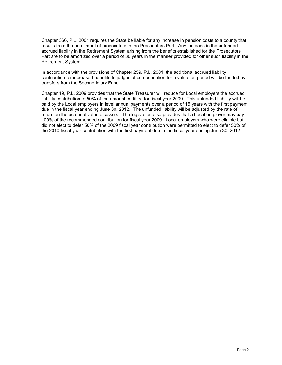Chapter 366, P.L. 2001 requires the State be liable for any increase in pension costs to a county that results from the enrollment of prosecutors in the Prosecutors Part. Any increase in the unfunded accrued liability in the Retirement System arising from the benefits established for the Prosecutors Part are to be amortized over a period of 30 years in the manner provided for other such liability in the Retirement System.

In accordance with the provisions of Chapter 259, P.L. 2001, the additional accrued liability contribution for increased benefits to judges of compensation for a valuation period will be funded by transfers from the Second Injury Fund.

Chapter 19, P.L. 2009 provides that the State Treasurer will reduce for Local employers the accrued liability contribution to 50% of the amount certified for fiscal year 2009. This unfunded liability will be paid by the Local employers in level annual payments over a period of 15 years with the first payment due in the fiscal year ending June 30, 2012. The unfunded liability will be adjusted by the rate of return on the actuarial value of assets. The legislation also provides that a Local employer may pay 100% of the recommended contribution for fiscal year 2009. Local employers who were eligible but did not elect to defer 50% of the 2009 fiscal year contribution were permitted to elect to defer 50% of the 2010 fiscal year contribution with the first payment due in the fiscal year ending June 30, 2012.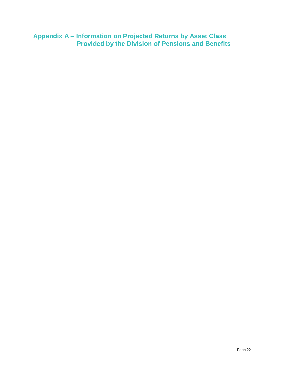**Appendix A – Information on Projected Returns by Asset Class Provided by the Division of Pensions and Benefits**